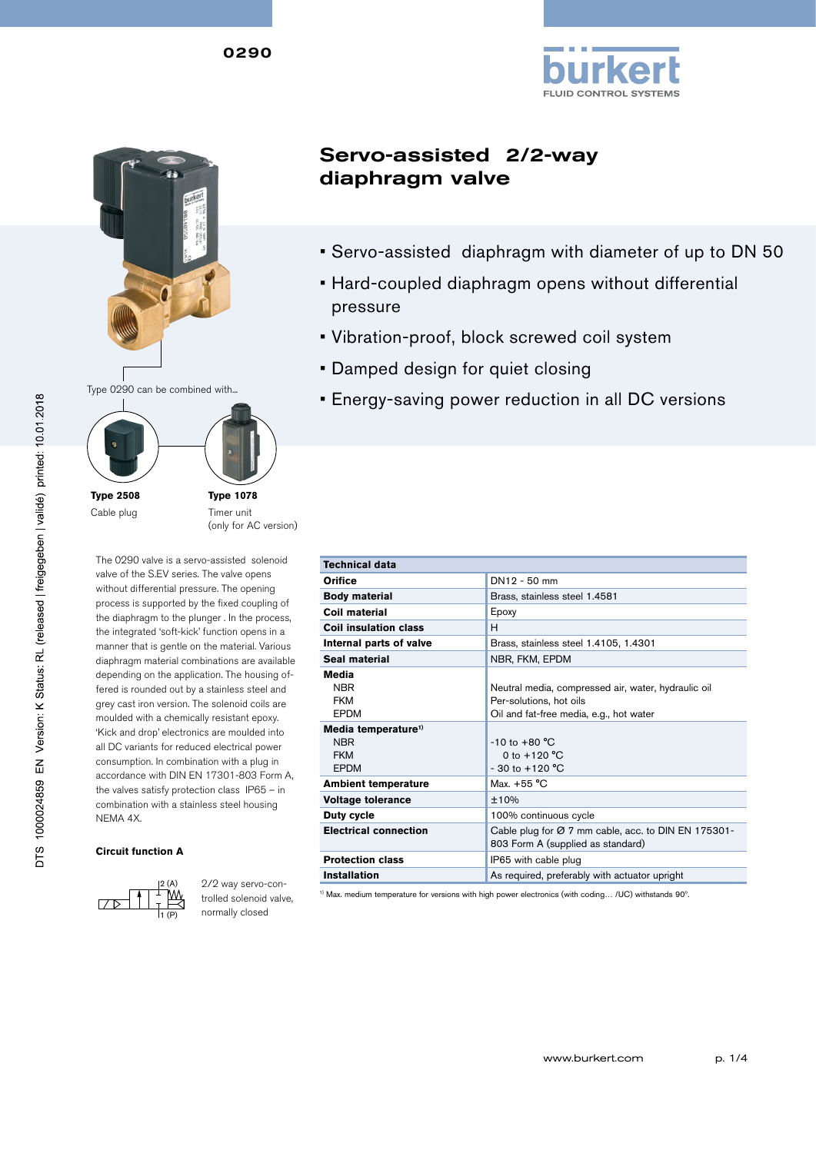



Cable plug

**Type 1078** Timer unit (only for AC version)

The 0290 valve is a servo-assisted solenoid valve of the S.EV series. The valve opens without differential pressure. The opening process is supported by the fixed coupling of the diaphragm to the plunger . In the process, the integrated 'soft-kick' function opens in a manner that is gentle on the material. Various diaphragm material combinations are available depending on the application. The housing offered is rounded out by a stainless steel and grey cast iron version. The solenoid coils are moulded with a chemically resistant epoxy. 'Kick and drop' electronics are moulded into all DC variants for reduced electrical power consumption. In combination with a plug in accordance with DIN EN 17301-803 Form A, the valves satisfy protection class IP65 – in combination with a stainless steel housing NEMA 4X.

#### **Circuit function A**



2/2 way servo-controlled solenoid valve, normally closed

# Servo-assisted 2/2-way diaphragm valve

• Servo-assisted diaphragm with diameter of up to DN 50

**FLUID CONTROL SYSTEMS** 

- Hard-coupled diaphragm opens without differential pressure
- • Vibration-proof, block screwed coil system
- **Damped design for quiet closing**
- **Energy-saving power reduction in all DC versions**

| <b>Technical data</b>                                                      |                                                                                                                           |
|----------------------------------------------------------------------------|---------------------------------------------------------------------------------------------------------------------------|
| Orifice                                                                    | DN12 - 50 mm                                                                                                              |
| <b>Body material</b>                                                       | Brass, stainless steel 1.4581                                                                                             |
| Coil material                                                              | Epoxy                                                                                                                     |
| Coil insulation class                                                      | н                                                                                                                         |
| Internal parts of valve                                                    | Brass, stainless steel 1.4105, 1.4301                                                                                     |
| Seal material                                                              | NBR, FKM, EPDM                                                                                                            |
| Media<br><b>NBR</b><br><b>FKM</b><br><b>FPDM</b>                           | Neutral media, compressed air, water, hydraulic oil<br>Per-solutions, hot oils<br>Oil and fat-free media, e.g., hot water |
| Media temperature <sup>1)</sup><br><b>NBR</b><br><b>FKM</b><br><b>EPDM</b> | $-10$ to $+80$ °C<br>0 to $+120 °C$<br>$-30$ to $+120$ °C                                                                 |
| <b>Ambient temperature</b>                                                 | Max. $+55$ °C                                                                                                             |
| <b>Voltage tolerance</b>                                                   | ±10%                                                                                                                      |
| Duty cycle                                                                 | 100% continuous cycle                                                                                                     |
| <b>Electrical connection</b>                                               | Cable plug for Ø 7 mm cable, acc. to DIN EN 175301-<br>803 Form A (supplied as standard)                                  |
| <b>Protection class</b>                                                    | IP65 with cable plug                                                                                                      |
| <b>Installation</b>                                                        | As required, preferably with actuator upright                                                                             |

1) Max. medium temperature for versions with high power electronics (with coding… /UC) withstands 90º.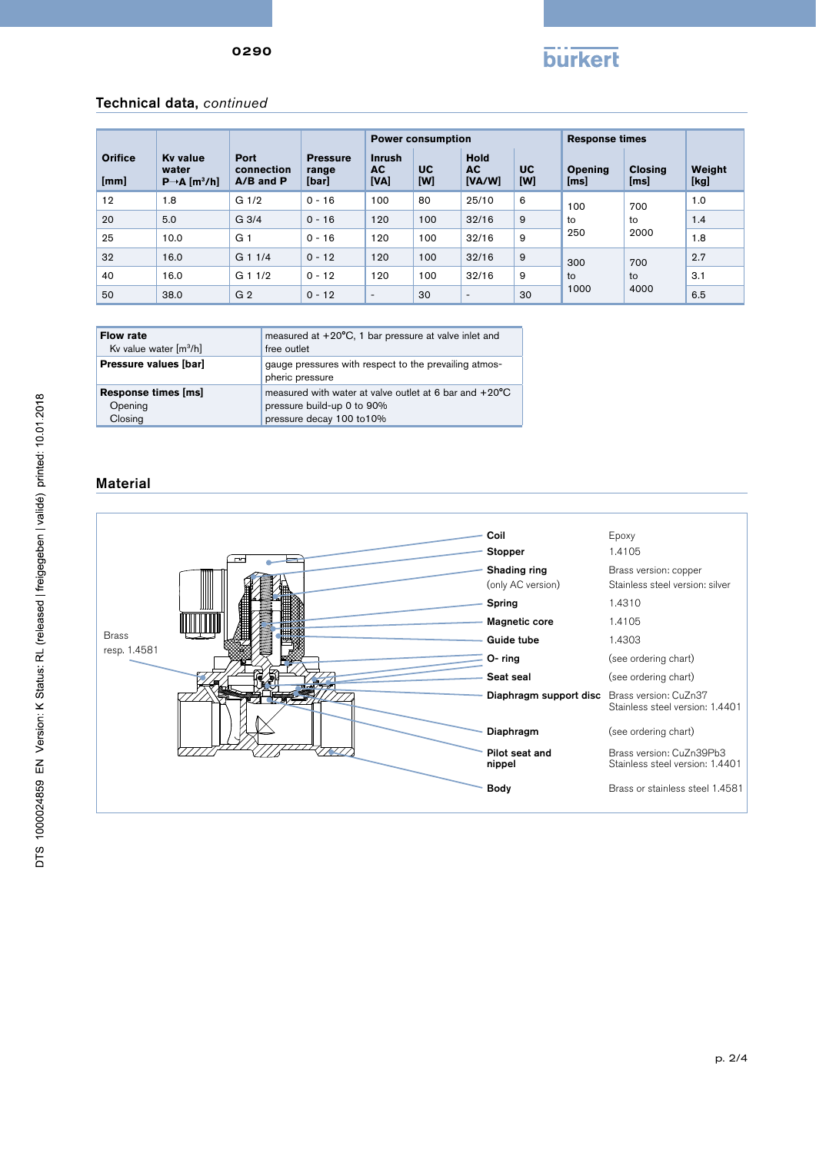

### Technical data, *continued*

|                        |                                                                   |                                     |                                   | <b>Power consumption</b>           |           |                             |                  | <b>Response times</b>  |                        |                |
|------------------------|-------------------------------------------------------------------|-------------------------------------|-----------------------------------|------------------------------------|-----------|-----------------------------|------------------|------------------------|------------------------|----------------|
| <b>Orifice</b><br>[mm] | <b>Ky value</b><br>water<br>$P \rightarrow A$ [m <sup>3</sup> /h] | Port<br>connection<br>$A/B$ and $P$ | <b>Pressure</b><br>range<br>[bar] | <b>Inrush</b><br><b>AC</b><br>[VA] | UC<br>[W] | <b>Hold</b><br>AC<br>[VA/W] | <b>UC</b><br>[W] | <b>Opening</b><br>[ms] | <b>Closing</b><br>[ms] | Weight<br>[kg] |
| 12                     | 1.8                                                               | G <sub>1/2</sub>                    | $0 - 16$                          | 100                                | 80        | 25/10                       | 6                | 100<br>to<br>250       | 700<br>to<br>2000      | 1.0            |
| 20                     | 5.0                                                               | G <sub>3/4</sub>                    | $0 - 16$                          | 120                                | 100       | 32/16                       | 9                |                        |                        | 1.4            |
| 25                     | 10.0                                                              | G <sub>1</sub>                      | $0 - 16$                          | 120                                | 100       | 32/16                       | 9                |                        |                        | 1.8            |
| 32                     | 16.0                                                              | G 1 1/4                             | $0 - 12$                          | 120                                | 100       | 32/16                       | 9                | 300<br>to<br>1000      | 700<br>to              | 2.7            |
| 40                     | 16.0                                                              | $G_11/2$                            | $0 - 12$                          | 120                                | 100       | 32/16                       | 9                |                        |                        | 3.1            |
| 50                     | 38.0                                                              | G <sub>2</sub>                      | $0 - 12$                          | $\overline{\phantom{a}}$           | 30        | ٠                           | 30               |                        | 4000                   | 6.5            |

| <b>Flow rate</b>                     | measured at $+20^{\circ}$ C, 1 bar pressure at valve inlet and           |
|--------------------------------------|--------------------------------------------------------------------------|
| Kv value water $\lceil m^3/h \rceil$ | free outlet                                                              |
| Pressure values [bar]                | gauge pressures with respect to the prevailing atmos-<br>pheric pressure |
| Response times [ms]                  | measured with water at valve outlet at 6 bar and $+20^{\circ}$ C         |
| Opening                              | pressure build-up 0 to 90%                                               |
| Closing                              | pressure decay 100 to 10%                                                |

### Material

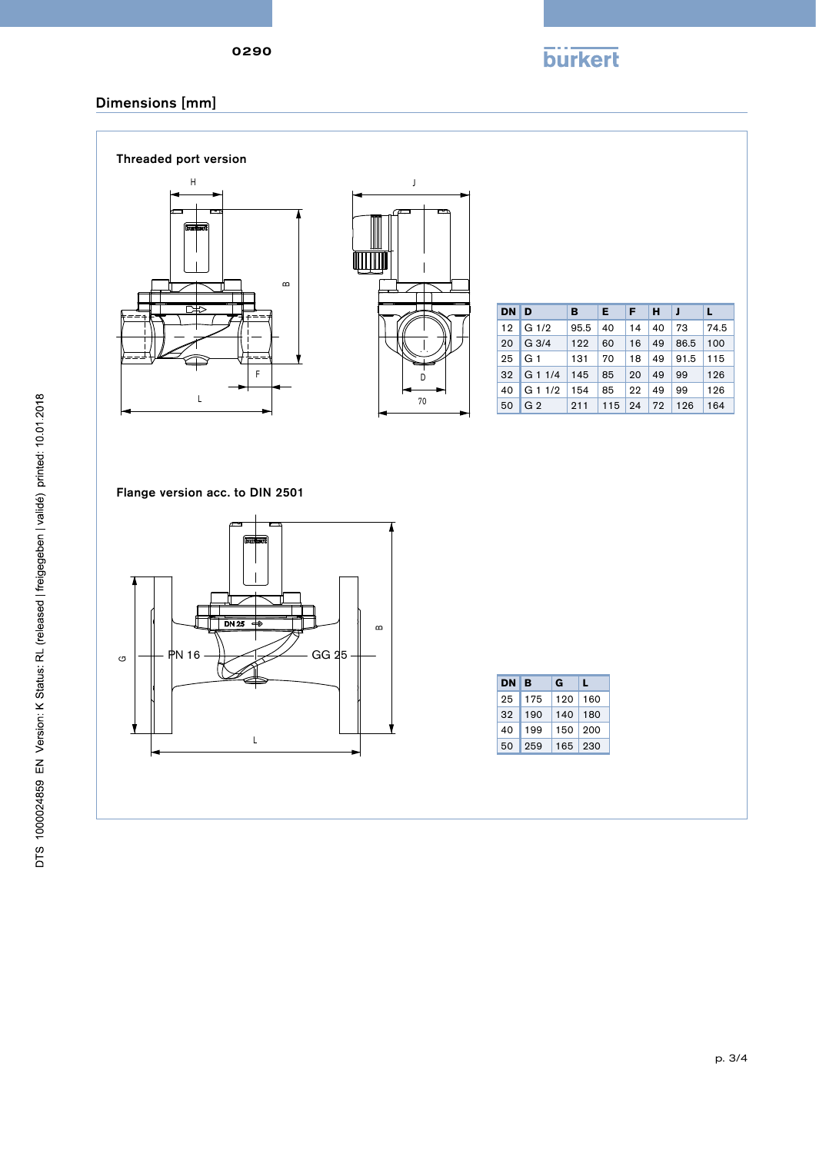**burkert** 

## Dimensions [mm]





| DN D |                      | <b>B</b>  | 4E)      | Œ  | HIJ |           |      |
|------|----------------------|-----------|----------|----|-----|-----------|------|
|      | 12 G $1/2$           | $95.5$ 40 |          | 14 | 40  | <b>73</b> | 74.5 |
|      | $20 \mid G \mid 3/4$ | 122       | 60       | 16 | 49  | 86.5      | 100  |
|      | $25 \mid G1$         | 131       | 70       | 18 | 49  | 91.5      | 115  |
|      | 32 G 1 1/4           | 145       | 85       | 20 | 49  | 99        | 126  |
| 40   | G11/2                | 154       | 85       | 22 | 49  | 99        | 126  |
| 50   | G <sub>2</sub>       | 211       | $115$ 24 |    |     | 72 126    | 164  |

Flange version acc. to DIN 2501



| DΝ | в   | G   | L   |  |
|----|-----|-----|-----|--|
| 25 | 175 | 120 | 160 |  |
| 32 | 190 | 140 | 180 |  |
| 40 | 199 | 150 | 200 |  |
| 50 | 259 | 165 | 230 |  |